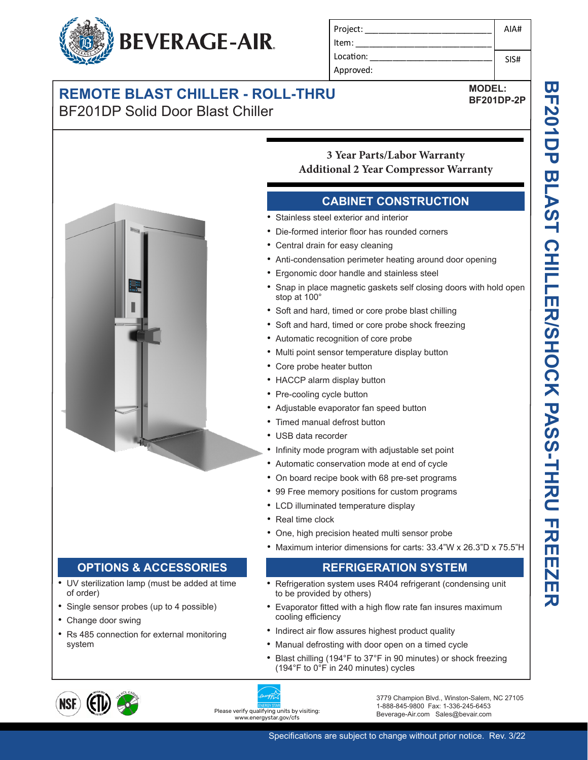

| Project:  | AIA# |
|-----------|------|
| Item:     |      |
| Location: | SIS# |
| Approved: |      |

## **REMOTE BLAST CHILLER - ROLL-THRU** BF201DP Solid Door Blast Chiller

**MODEL:**

**BF201DP-2P**



## **CABINET CONSTRUCTION**

- Stainless steel exterior and interior
- Die-formed interior floor has rounded corners
- Central drain for easy cleaning
- Anti-condensation perimeter heating around door opening
- Ergonomic door handle and stainless steel
- Snap in place magnetic gaskets self closing doors with hold open stop at 100°
- Soft and hard, timed or core probe blast chilling
- Soft and hard, timed or core probe shock freezing
- Automatic recognition of core probe
- Multi point sensor temperature display button
- Core probe heater button
- HACCP alarm display button
- Pre-cooling cycle button
- Adjustable evaporator fan speed button
- Timed manual defrost button
- USB data recorder
- Infinity mode program with adjustable set point
- Automatic conservation mode at end of cycle
- On board recipe book with 68 pre-set programs
- 99 Free memory positions for custom programs
- LCD illuminated temperature display
- Real time clock
- One, high precision heated multi sensor probe
- Maximum interior dimensions for carts: 33.4"W x 26.3"D x 75.5"H

## **REFRIGERATION SYSTEM**

- Refrigeration system uses R404 refrigerant (condensing unit to be provided by others)
- Evaporator fitted with a high flow rate fan insures maximum cooling efficiency
- Indirect air flow assures highest product quality
- Manual defrosting with door open on a timed cycle
- Blast chilling (194°F to 37°F in 90 minutes) or shock freezing (194°F to 0°F in 240 minutes) cycles



• Change door swing

of order)

system

**OPTIONS & ACCESSORIES** • UV sterilization lamp (must be added at time

• Single sensor probes (up to 4 possible)

• Rs 485 connection for external monitoring



3779 Champion Blvd., Winston-Salem, NC 27105 1-888-845-9800 Fax: 1-336-245-6453 Beverage-Air.com Sales@bevair.com